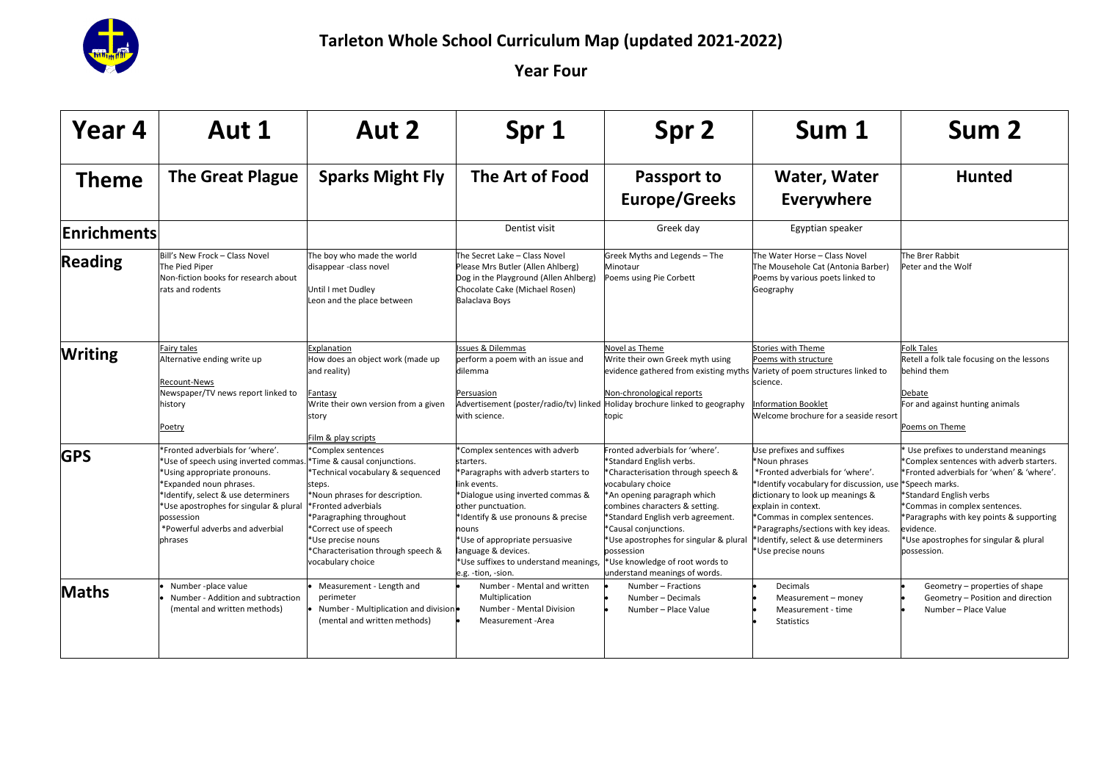

| Year 4<br>Aut 1    |                                                                                                                                                                                                                                                                                  | Aut 2                                                                                                                                                                                                                                                                                             | Spr 1                                                                                                                                                                                                                                                                                                                              | Spr 2                                                                                                                                                                                                                                                                                                                                                                             | Sum 1                                                                                                                                                                                                                                                                                                                       | Sum 2                                                                                                                                                                                                                                                                                                                      |  |
|--------------------|----------------------------------------------------------------------------------------------------------------------------------------------------------------------------------------------------------------------------------------------------------------------------------|---------------------------------------------------------------------------------------------------------------------------------------------------------------------------------------------------------------------------------------------------------------------------------------------------|------------------------------------------------------------------------------------------------------------------------------------------------------------------------------------------------------------------------------------------------------------------------------------------------------------------------------------|-----------------------------------------------------------------------------------------------------------------------------------------------------------------------------------------------------------------------------------------------------------------------------------------------------------------------------------------------------------------------------------|-----------------------------------------------------------------------------------------------------------------------------------------------------------------------------------------------------------------------------------------------------------------------------------------------------------------------------|----------------------------------------------------------------------------------------------------------------------------------------------------------------------------------------------------------------------------------------------------------------------------------------------------------------------------|--|
| <b>Theme</b>       | <b>The Great Plague</b>                                                                                                                                                                                                                                                          | <b>Sparks Might Fly</b>                                                                                                                                                                                                                                                                           | The Art of Food                                                                                                                                                                                                                                                                                                                    | Passport to<br><b>Europe/Greeks</b>                                                                                                                                                                                                                                                                                                                                               | Water, Water<br><b>Everywhere</b>                                                                                                                                                                                                                                                                                           | <b>Hunted</b>                                                                                                                                                                                                                                                                                                              |  |
| <b>Enrichments</b> |                                                                                                                                                                                                                                                                                  |                                                                                                                                                                                                                                                                                                   | Dentist visit                                                                                                                                                                                                                                                                                                                      | Greek day                                                                                                                                                                                                                                                                                                                                                                         | Egyptian speaker                                                                                                                                                                                                                                                                                                            |                                                                                                                                                                                                                                                                                                                            |  |
| <b>Reading</b>     | Bill's New Frock - Class Novel<br>The Pied Piper<br>Non-fiction books for research about<br>rats and rodents                                                                                                                                                                     | The boy who made the world<br>disappear -class novel<br>Until I met Dudley<br>Leon and the place between                                                                                                                                                                                          | The Secret Lake - Class Novel<br>Please Mrs Butler (Allen Ahlberg)<br>Dog in the Playground (Allen Ahlberg)<br>Chocolate Cake (Michael Rosen)<br>Balaclava Boys                                                                                                                                                                    | Greek Myths and Legends - The<br>Minotaur<br>Poems using Pie Corbett                                                                                                                                                                                                                                                                                                              | The Water Horse - Class Novel<br>The Mousehole Cat (Antonia Barber)<br>Poems by various poets linked to<br>Geography                                                                                                                                                                                                        | The Brer Rabbit<br>Peter and the Wolf                                                                                                                                                                                                                                                                                      |  |
| <b>Writing</b>     | Fairy tales<br>Alternative ending write up<br>Recount-News<br>Newspaper/TV news report linked to<br>history<br>Poetry                                                                                                                                                            | Explanation<br>How does an object work (made up<br>and reality)<br>Fantasy<br>Write their own version from a given<br>story<br>Film & play scripts                                                                                                                                                | Issues & Dilemmas<br>perform a poem with an issue and<br>dilemma<br>Persuasion<br>Advertisement (poster/radio/tv) linked Holiday brochure linked to geography<br>with science.                                                                                                                                                     | Novel as Theme<br>Write their own Greek myth using<br>evidence gathered from existing myths Variety of poem structures linked to<br>Non-chronological reports<br>topic                                                                                                                                                                                                            | Stories with Theme<br>Poems with structure<br>science.<br><b>Information Booklet</b><br>Welcome brochure for a seaside resort                                                                                                                                                                                               | <b>Folk Tales</b><br>Retell a folk tale focusing on the lessons<br>behind them<br>Debate<br>For and against hunting animals<br>Poems on Theme                                                                                                                                                                              |  |
| <b>GPS</b>         | *Fronted adverbials for 'where'.<br>*Use of speech using inverted commas<br>*Using appropriate pronouns.<br>*Expanded noun phrases.<br>*Identify, select & use determiners<br>*Use apostrophes for singular & plural<br>possession<br>*Powerful adverbs and adverbial<br>phrases | *Complex sentences<br>*Time & causal conjunctions.<br>*Technical vocabulary & sequenced<br>steps.<br>*Noun phrases for description.<br>*Fronted adverbials<br>*Paragraphing throughout<br>*Correct use of speech<br>*Use precise nouns<br>*Characterisation through speech &<br>vocabulary choice | Complex sentences with adverb<br>starters.<br>*Paragraphs with adverb starters to<br>link events.<br>*Dialogue using inverted commas &<br>other punctuation.<br>*Identify & use pronouns & precise<br>nouns<br>*Use of appropriate persuasive<br>anguage & devices.<br>*Use suffixes to understand meanings,<br>e.g. -tion, -sion. | Fronted adverbials for 'where'.<br>*Standard English verbs.<br>*Characterisation through speech &<br>vocabulary choice<br>*An opening paragraph which<br>combines characters & setting.<br>*Standard English verb agreement.<br>*Causal conjunctions.<br>*Use apostrophes for singular & plural<br>possession<br>*Use knowledge of root words to<br>understand meanings of words. | Use prefixes and suffixes<br>*Noun phrases<br>*Fronted adverbials for 'where'.<br>*Identify vocabulary for discussion, use<br>dictionary to look up meanings &<br>explain in context.<br>*Commas in complex sentences.<br>*Paragraphs/sections with key ideas.<br>*Identify, select & use determiners<br>*Use precise nouns | Use prefixes to understand meanings<br>Complex sentences with adverb starters.<br>*Fronted adverbials for 'when' & 'where'.<br>*Speech marks.<br>*Standard English verbs<br>*Commas in complex sentences.<br>*Paragraphs with key points & supporting<br>evidence.<br>Use apostrophes for singular & plural<br>possession. |  |
| <b>Maths</b>       | Number - place value<br>Number - Addition and subtraction<br>(mental and written methods)                                                                                                                                                                                        | Measurement - Length and<br>perimeter<br>Number - Multiplication and division<br>(mental and written methods)                                                                                                                                                                                     | Number - Mental and written<br>Multiplication<br>Number - Mental Division<br>Measurement -Area                                                                                                                                                                                                                                     | Number - Fractions<br>Number - Decimals<br>Number - Place Value                                                                                                                                                                                                                                                                                                                   | Decimals<br>Measurement - money<br>Measurement - time<br><b>Statistics</b>                                                                                                                                                                                                                                                  | Geometry - properties of shape<br>Geometry - Position and direction<br>Number - Place Value                                                                                                                                                                                                                                |  |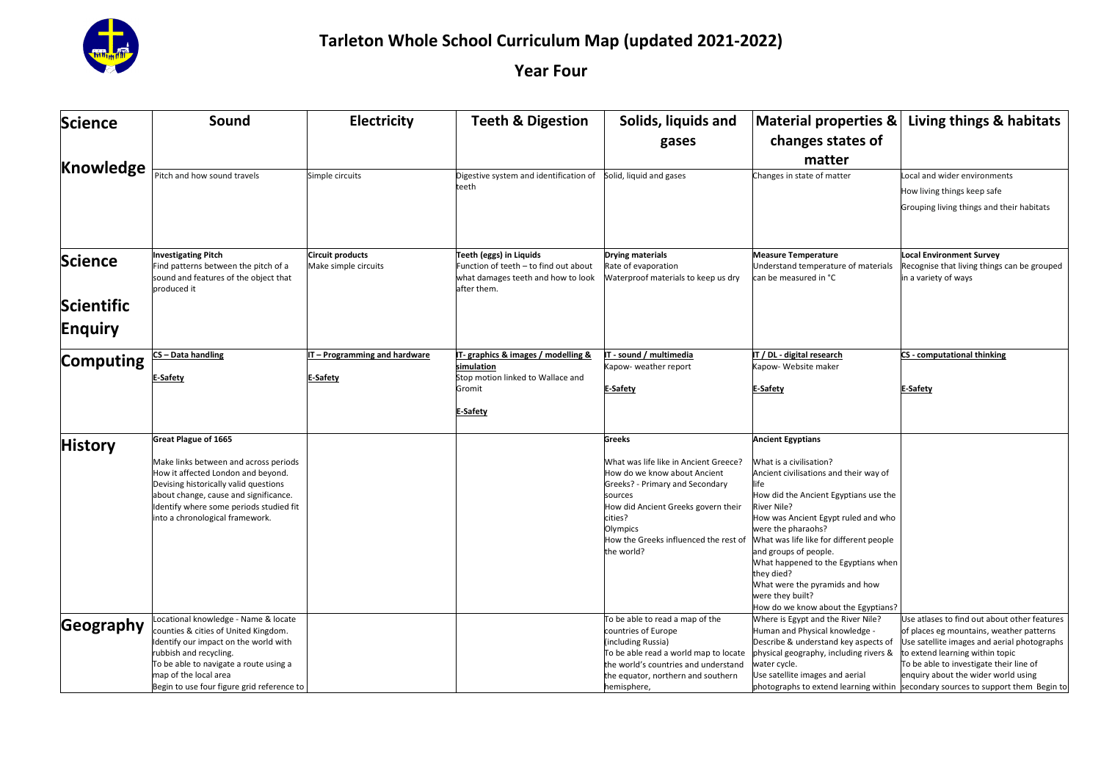

| <b>Science</b> | Sound                                                                          | Electricity                                     | <b>Teeth &amp; Digestion</b>                                     | Solids, liquids and                            | <b>Material properties &amp;</b>                                          | Living things & habitats                                                         |
|----------------|--------------------------------------------------------------------------------|-------------------------------------------------|------------------------------------------------------------------|------------------------------------------------|---------------------------------------------------------------------------|----------------------------------------------------------------------------------|
|                |                                                                                |                                                 |                                                                  | gases                                          | changes states of                                                         |                                                                                  |
| Knowledge      |                                                                                |                                                 |                                                                  |                                                | matter                                                                    |                                                                                  |
|                | Pitch and how sound travels                                                    | Simple circuits                                 | Digestive system and identification of                           | Solid, liquid and gases                        | Changes in state of matter                                                | Local and wider environments                                                     |
|                |                                                                                |                                                 | teeth                                                            |                                                |                                                                           | How living things keep safe                                                      |
|                |                                                                                |                                                 |                                                                  |                                                |                                                                           | Grouping living things and their habitats                                        |
|                |                                                                                |                                                 |                                                                  |                                                |                                                                           |                                                                                  |
|                |                                                                                |                                                 |                                                                  |                                                |                                                                           |                                                                                  |
|                |                                                                                |                                                 |                                                                  |                                                |                                                                           |                                                                                  |
| <b>Science</b> | <b>Investigating Pitch</b><br>Find patterns between the pitch of a             | <b>Circuit products</b><br>Make simple circuits | Teeth (eggs) in Liquids<br>Function of teeth - to find out about | <b>Drying materials</b><br>Rate of evaporation | <b>Measure Temperature</b><br>Understand temperature of materials         | <b>Local Environment Survey</b><br>Recognise that living things can be grouped   |
|                | sound and features of the object that                                          |                                                 | what damages teeth and how to look                               | Waterproof materials to keep us dry            | can be measured in °C                                                     | in a variety of ways                                                             |
|                | produced it                                                                    |                                                 | after them.                                                      |                                                |                                                                           |                                                                                  |
| Scientific     |                                                                                |                                                 |                                                                  |                                                |                                                                           |                                                                                  |
|                |                                                                                |                                                 |                                                                  |                                                |                                                                           |                                                                                  |
| <b>Enquiry</b> |                                                                                |                                                 |                                                                  |                                                |                                                                           |                                                                                  |
|                |                                                                                |                                                 |                                                                  |                                                |                                                                           |                                                                                  |
| Computing      | S-Data handling                                                                | IT - Programming and hardware                   | IT- graphics & images / modelling &<br>simulation                | T - sound / multimedia<br>apow-weather report  | IT / DL - digital research<br>apow- Website maker                         | <b>CS</b> - computational thinking                                               |
|                | -Safety                                                                        | E-Safety                                        | Stop motion linked to Wallace and                                |                                                |                                                                           |                                                                                  |
|                |                                                                                |                                                 | Gromit                                                           | <b>E-Safety</b>                                | E-Safety                                                                  | <b>E-Safety</b>                                                                  |
|                |                                                                                |                                                 |                                                                  |                                                |                                                                           |                                                                                  |
|                |                                                                                |                                                 | E-Safety                                                         |                                                |                                                                           |                                                                                  |
|                | <b>Great Plague of 1665</b>                                                    |                                                 |                                                                  | <b>Greeks</b>                                  | <b>Ancient Egyptians</b>                                                  |                                                                                  |
| <b>History</b> |                                                                                |                                                 |                                                                  |                                                |                                                                           |                                                                                  |
|                | Make links between and across periods                                          |                                                 |                                                                  | What was life like in Ancient Greece?          | What is a civilisation?                                                   |                                                                                  |
|                | How it affected London and beyond.                                             |                                                 |                                                                  | How do we know about Ancient                   | Ancient civilisations and their way of                                    |                                                                                  |
|                | Devising historically valid questions<br>about change, cause and significance. |                                                 |                                                                  | Greeks? - Primary and Secondary<br>sources     | life<br>How did the Ancient Egyptians use the                             |                                                                                  |
|                | Identify where some periods studied fit                                        |                                                 |                                                                  | How did Ancient Greeks govern their            | <b>River Nile?</b>                                                        |                                                                                  |
|                | into a chronological framework.                                                |                                                 |                                                                  | cities?                                        | How was Ancient Egypt ruled and who                                       |                                                                                  |
|                |                                                                                |                                                 |                                                                  | Olympics                                       | were the pharaohs?                                                        |                                                                                  |
|                |                                                                                |                                                 |                                                                  | How the Greeks influenced the rest of          | What was life like for different people                                   |                                                                                  |
|                |                                                                                |                                                 |                                                                  | the world?                                     | and groups of people.<br>What happened to the Egyptians when              |                                                                                  |
|                |                                                                                |                                                 |                                                                  |                                                | they died?                                                                |                                                                                  |
|                |                                                                                |                                                 |                                                                  |                                                | What were the pyramids and how                                            |                                                                                  |
|                |                                                                                |                                                 |                                                                  |                                                | were they built?                                                          |                                                                                  |
|                | ocational knowledge - Name & locate                                            |                                                 |                                                                  | To be able to read a map of the                | How do we know about the Egyptians?<br>Where is Egypt and the River Nile? | Use atlases to find out about other features                                     |
| Geography      | counties & cities of United Kingdom.                                           |                                                 |                                                                  | countries of Europe                            | Human and Physical knowledge -                                            | of places eg mountains, weather patterns                                         |
|                | Identify our impact on the world with                                          |                                                 |                                                                  | (including Russia)                             | Describe & understand key aspects of                                      | Use satellite images and aerial photographs                                      |
|                | rubbish and recycling.                                                         |                                                 |                                                                  | To be able read a world map to locate          | physical geography, including rivers &                                    | to extend learning within topic                                                  |
|                | To be able to navigate a route using a                                         |                                                 |                                                                  | the world's countries and understand           | water cycle.                                                              | To be able to investigate their line of                                          |
|                | map of the local area                                                          |                                                 |                                                                  | the equator, northern and southern             | Use satellite images and aerial                                           | enquiry about the wider world using                                              |
|                | Begin to use four figure grid reference to                                     |                                                 |                                                                  | hemisphere,                                    |                                                                           | photographs to extend learning within secondary sources to support them Begin to |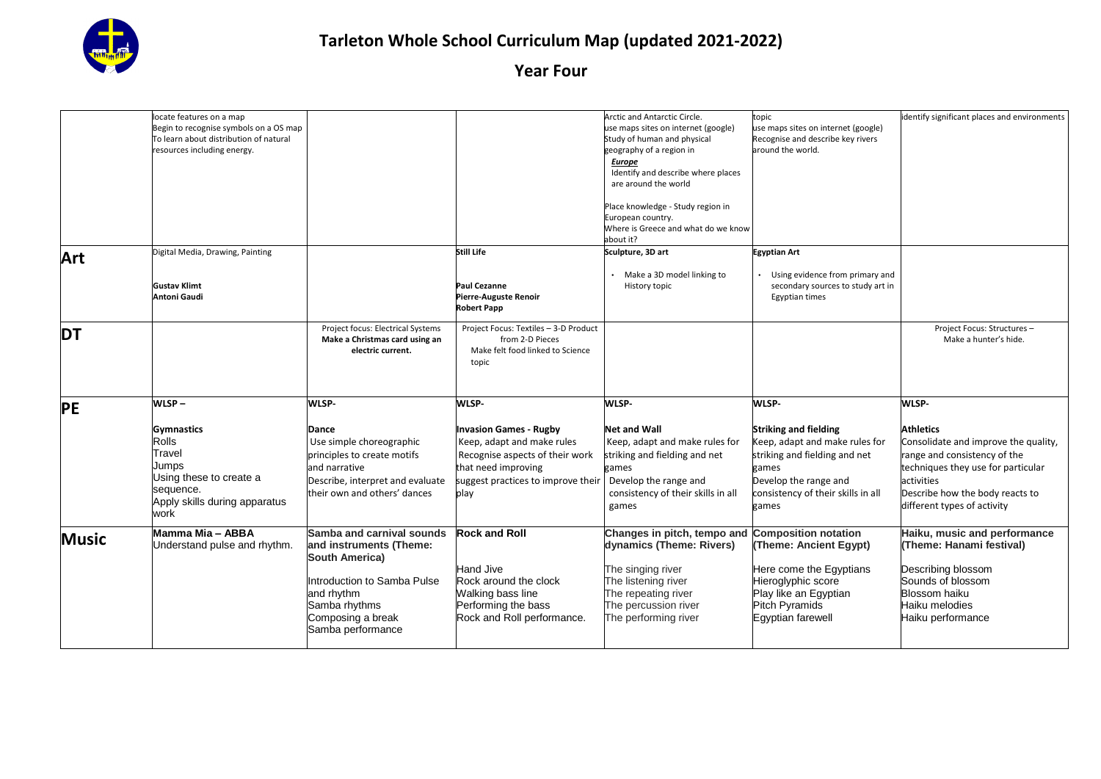

|              | locate features on a map<br>Begin to recognise symbols on a OS map<br>To learn about distribution of natural<br>resources including energy.    |                                                                                                                                                                       |                                                                                                                                                                                     | Arctic and Antarctic Circle.<br>use maps sites on internet (google)<br>Study of human and physical<br>geography of a region in<br><b>Europe</b><br>Identify and describe where places<br>are around the world<br>Place knowledge - Study region in<br>European country.<br>Where is Greece and what do we know<br>about it? | topic<br>use maps sites on internet (google)<br>Recognise and describe key rivers<br>around the world.                                                                                    | identify significant places and environments                                                                                                                                                                            |
|--------------|------------------------------------------------------------------------------------------------------------------------------------------------|-----------------------------------------------------------------------------------------------------------------------------------------------------------------------|-------------------------------------------------------------------------------------------------------------------------------------------------------------------------------------|-----------------------------------------------------------------------------------------------------------------------------------------------------------------------------------------------------------------------------------------------------------------------------------------------------------------------------|-------------------------------------------------------------------------------------------------------------------------------------------------------------------------------------------|-------------------------------------------------------------------------------------------------------------------------------------------------------------------------------------------------------------------------|
| Art          | Digital Media, Drawing, Painting<br><b>Gustav Klimt</b><br>Antoni Gaudi                                                                        |                                                                                                                                                                       | Still Life<br><b>Paul Cezanne</b><br>Pierre-Auguste Renoir<br><b>Robert Papp</b>                                                                                                    | Sculpture, 3D art<br>Make a 3D model linking to<br>History topic                                                                                                                                                                                                                                                            | <b>Egyptian Art</b><br>Using evidence from primary and<br>secondary sources to study art in<br>Egyptian times                                                                             |                                                                                                                                                                                                                         |
| <b>DT</b>    |                                                                                                                                                | Project focus: Electrical Systems<br>Make a Christmas card using an<br>electric current.                                                                              | Project Focus: Textiles - 3-D Product<br>from 2-D Pieces<br>Make felt food linked to Science<br>topic                                                                               |                                                                                                                                                                                                                                                                                                                             |                                                                                                                                                                                           | Project Focus: Structures -<br>Make a hunter's hide.                                                                                                                                                                    |
| <b>PE</b>    | WLSP-<br><b>Gymnastics</b><br><b>Rolls</b><br>Travel<br>Jumps<br>Using these to create a<br>sequence.<br>Apply skills during apparatus<br>work | <b>WLSP-</b><br>Dance<br>Use simple choreographic<br>principles to create motifs<br>and narrative<br>Describe, interpret and evaluate<br>their own and others' dances | <b>WLSP-</b><br><b>Invasion Games - Rugby</b><br>Keep, adapt and make rules<br>Recognise aspects of their work<br>that need improving<br>suggest practices to improve their<br>play | WLSP-<br><b>Net and Wall</b><br>Keep, adapt and make rules for<br>striking and fielding and net<br>games<br>Develop the range and<br>consistency of their skills in all<br>games                                                                                                                                            | WLSP-<br><b>Striking and fielding</b><br>Keep, adapt and make rules for<br>striking and fielding and net<br>games<br>Develop the range and<br>consistency of their skills in all<br>games | WLSP-<br><b>Athletics</b><br>Consolidate and improve the quality,<br>range and consistency of the<br>techniques they use for particular<br>activities<br>Describe how the body reacts to<br>different types of activity |
| <b>Music</b> | Mamma Mia - ABBA<br>Understand pulse and rhythm.                                                                                               | Samba and carnival sounds<br>and instruments (Theme:<br><b>South America)</b><br>Introduction to Samba Pulse<br>and rhythm<br>Samba rhythms<br>Composing a break      | <b>Rock and Roll</b><br><b>Hand Jive</b><br>Rock around the clock<br>Walking bass line<br>Performing the bass<br>Rock and Roll performance.                                         | Changes in pitch, tempo and Composition notation<br>dynamics (Theme: Rivers)<br>The singing river<br>The listening river<br>The repeating river<br>The percussion river<br>The performing river                                                                                                                             | (Theme: Ancient Egypt)<br>Here come the Egyptians<br>Hieroglyphic score<br>Play like an Egyptian<br>Pitch Pyramids<br>Egyptian farewell                                                   | Haiku, music and performance<br>(Theme: Hanami festival)<br>Describing blossom<br>Sounds of blossom<br><b>Blossom haiku</b><br>Haiku melodies<br>Haiku performance                                                      |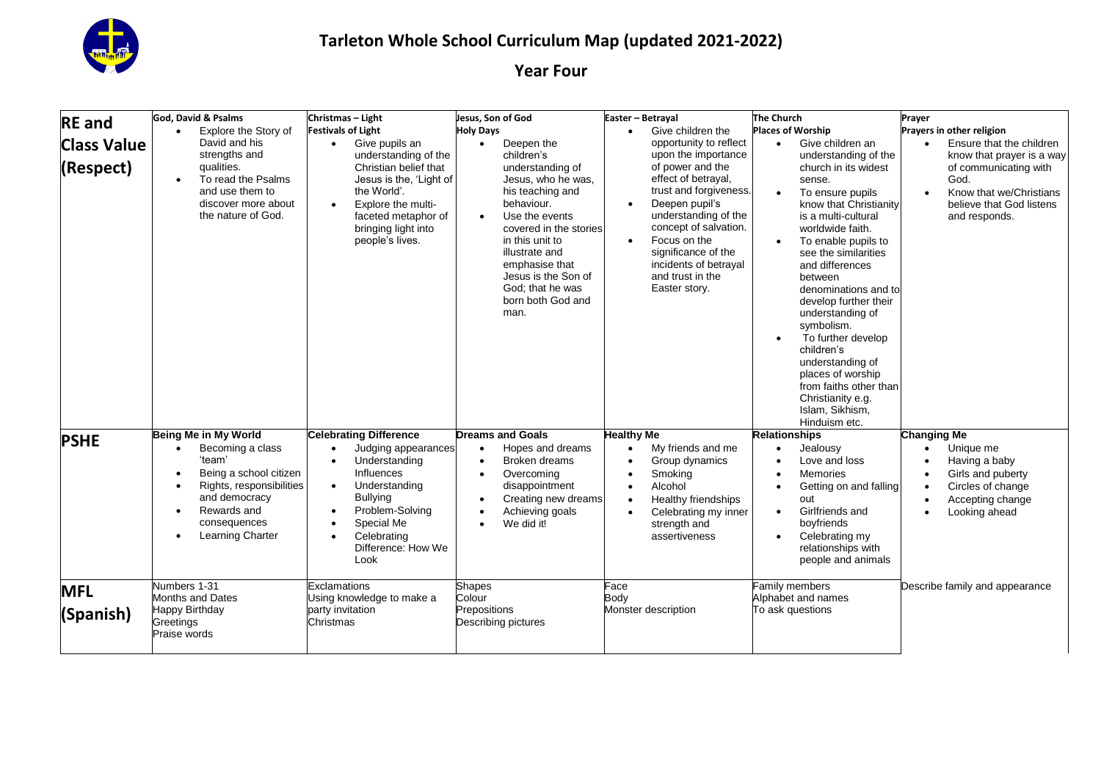

| <b>RE</b> and                   | God. David & Psalms                                                                                                                                                                                         | Christmas - Light                                                                                                                                                                                                                                                                   | Jesus, Son of God                                                                                                                                                                                                                                                                                         | Easter - Betrayal                                                                                                                                                                                                                                                                                                    | <b>The Church</b>                                                                                                                                                                                                                                                                                                                                                                                                                                                                                                         | Prayer                                                                                                                                                                      |
|---------------------------------|-------------------------------------------------------------------------------------------------------------------------------------------------------------------------------------------------------------|-------------------------------------------------------------------------------------------------------------------------------------------------------------------------------------------------------------------------------------------------------------------------------------|-----------------------------------------------------------------------------------------------------------------------------------------------------------------------------------------------------------------------------------------------------------------------------------------------------------|----------------------------------------------------------------------------------------------------------------------------------------------------------------------------------------------------------------------------------------------------------------------------------------------------------------------|---------------------------------------------------------------------------------------------------------------------------------------------------------------------------------------------------------------------------------------------------------------------------------------------------------------------------------------------------------------------------------------------------------------------------------------------------------------------------------------------------------------------------|-----------------------------------------------------------------------------------------------------------------------------------------------------------------------------|
|                                 | Explore the Story of<br>$\bullet$                                                                                                                                                                           | <b>Festivals of Light</b>                                                                                                                                                                                                                                                           | <b>Holy Days</b>                                                                                                                                                                                                                                                                                          | Give children the                                                                                                                                                                                                                                                                                                    | <b>Places of Worship</b>                                                                                                                                                                                                                                                                                                                                                                                                                                                                                                  | Prayers in other religion                                                                                                                                                   |
| <b>Class Value</b><br>(Respect) | David and his<br>strengths and<br>qualities.<br>To read the Psalms<br>and use them to<br>discover more about<br>the nature of God.                                                                          | Give pupils an<br>$\bullet$<br>understanding of the<br>Christian belief that<br>Jesus is the, 'Light of<br>the World'.<br>Explore the multi-<br>$\bullet$<br>faceted metaphor of<br>bringing light into<br>people's lives.                                                          | Deepen the<br>$\bullet$<br>children's<br>understanding of<br>Jesus, who he was,<br>his teaching and<br>behaviour.<br>Use the events<br>$\bullet$<br>covered in the stories<br>in this unit to<br>illustrate and<br>emphasise that<br>Jesus is the Son of<br>God: that he was<br>born both God and<br>man. | opportunity to reflect<br>upon the importance<br>of power and the<br>effect of betrayal,<br>trust and forgiveness.<br>Deepen pupil's<br>$\bullet$<br>understanding of the<br>concept of salvation.<br>Focus on the<br>$\bullet$<br>significance of the<br>incidents of betrayal<br>and trust in the<br>Easter story. | Give children an<br>$\bullet$<br>understanding of the<br>church in its widest<br>sense.<br>To ensure pupils<br>$\bullet$<br>know that Christianity<br>is a multi-cultural<br>worldwide faith.<br>To enable pupils to<br>$\bullet$<br>see the similarities<br>and differences<br>between<br>denominations and to<br>develop further their<br>understanding of<br>symbolism.<br>To further develop<br>children's<br>understanding of<br>places of worship<br>from faiths other than<br>Christianity e.g.<br>Islam, Sikhism, | Ensure that the children<br>know that prayer is a way<br>of communicating with<br>God.<br>Know that we/Christians<br>$\bullet$<br>believe that God listens<br>and responds. |
| <b>PSHE</b>                     | Being Me in My World<br>Becoming a class<br>$\bullet$<br>'team'<br>Being a school citizen<br>Rights, responsibilities<br>and democracy<br>Rewards and<br>$\bullet$<br>consequences<br>Learning Charter<br>٠ | <b>Celebrating Difference</b><br>Judging appearances<br>$\bullet$<br>Understanding<br>$\bullet$<br>Influences<br>Understanding<br>$\bullet$<br><b>Bullying</b><br>Problem-Solving<br>$\bullet$<br>Special Me<br>$\bullet$<br>Celebrating<br>$\bullet$<br>Difference: How We<br>Look | <b>Dreams and Goals</b><br>Hopes and dreams<br>$\bullet$<br>Broken dreams<br>$\bullet$<br>Overcoming<br>$\bullet$<br>disappointment<br>Creating new dreams<br>$\bullet$<br>Achieving goals<br>$\bullet$<br>We did it!<br>$\bullet$                                                                        | <b>Healthy Me</b><br>My friends and me<br>$\bullet$<br>Group dynamics<br>Smoking<br>$\bullet$<br>Alcohol<br>$\bullet$<br>Healthy friendships<br>$\bullet$<br>Celebrating my inner<br>$\bullet$<br>strength and<br>assertiveness                                                                                      | Hinduism etc.<br><b>Relationships</b><br>Jealousv<br>$\bullet$<br>Love and loss<br><b>Memories</b><br>Getting on and falling<br>out<br>Girlfriends and<br>$\bullet$<br>boyfriends<br>Celebrating my<br>$\bullet$<br>relationships with<br>people and animals                                                                                                                                                                                                                                                              | <b>Changing Me</b><br>Unique me<br>$\bullet$<br>Having a baby<br>Girls and puberty<br>Circles of change<br>Accepting change<br>Looking ahead                                |
| <b>MFL</b><br>(Spanish)         | Numbers 1-31<br><b>Months and Dates</b><br>Happy Birthday                                                                                                                                                   | Exclamations<br>Using knowledge to make a<br>party invitation                                                                                                                                                                                                                       | <b>Shapes</b><br>Colour<br>Prepositions                                                                                                                                                                                                                                                                   | Face<br>Body<br>Monster description                                                                                                                                                                                                                                                                                  | Family members<br>Alphabet and names<br>To ask questions                                                                                                                                                                                                                                                                                                                                                                                                                                                                  | Describe family and appearance                                                                                                                                              |
|                                 | Greetings<br>Praise words                                                                                                                                                                                   | Christmas                                                                                                                                                                                                                                                                           | Describing pictures                                                                                                                                                                                                                                                                                       |                                                                                                                                                                                                                                                                                                                      |                                                                                                                                                                                                                                                                                                                                                                                                                                                                                                                           |                                                                                                                                                                             |